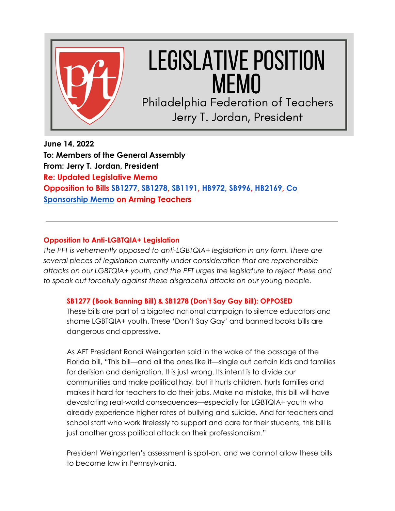

# **LEGISLATIVE POSITION MEMO**

Philadelphia Federation of Teachers Jerry T. Jordan, President

**June 14, 2022 To: Members of the General Assembly From: Jerry T. Jordan, President Re: Updated Legislative Memo Opposition to Bills [SB1277,](https://www.legis.state.pa.us/cfdocs/billInfo/billInfo.cfm?sYear=2021&sInd=0&body=S&type=B&bn=1277) [SB1278,](https://www.legis.state.pa.us/cfdocs/billInfo/billInfo.cfm?sYear=2021&sInd=0&body=S&type=B&bn=1278) [SB1191,](https://www.legis.state.pa.us/cfdocs/billInfo/billInfo.cfm?sYear=2021&sInd=0&body=S&type=B&bn=1191) [HB972,](https://www.legis.state.pa.us/cfdocs/billInfo/billInfo.cfm?sYear=2021&sInd=0&body=H&type=B&bn=0972) [SB996,](https://www.legis.state.pa.us/cfdocs/billInfo/billInfo.cfm?sYear=2021&sInd=0&body=S&type=B&bn=0996) [HB2169](https://www.legis.state.pa.us/cfdocs/billInfo/billInfo.cfm?sYear=2021&sInd=0&body=H&type=B&bn=2169), [Co](https://www.legis.state.pa.us/cfdocs/Legis/CSM/showMemoPublic.cfm?chamber=S&SPick=20210&cosponId=37468) [Sponsorship Memo](https://www.legis.state.pa.us/cfdocs/Legis/CSM/showMemoPublic.cfm?chamber=S&SPick=20210&cosponId=37468) on Arming Teachers**

## **Opposition to Anti-LGBTQIA+ Legislation**

*The PFT is vehemently opposed to anti-LGBTQIA+ legislation in any form. There are several pieces of legislation currently under consideration that are reprehensible attacks on our LGBTQIA+ youth, and the PFT urges the legislature to reject these and to speak out forcefully against these disgraceful attacks on our young people.*

## **SB1277 (Book Banning Bill) & SB1278 (Don't Say Gay Bill): OPPOSED**

These bills are part of a bigoted national campaign to silence educators and shame LGBTQIA+ youth. These 'Don't Say Gay' and banned books bills are dangerous and oppressive.

As AFT President Randi Weingarten said in the wake of the passage of the Florida bill, "This bill—and all the ones like it—single out certain kids and families for derision and denigration. It is just wrong. Its intent is to divide our communities and make political hay, but it hurts children, hurts families and makes it hard for teachers to do their jobs. Make no mistake, this bill will have devastating real-world consequences—especially for LGBTQIA+ youth who already experience higher rates of bullying and suicide. And for teachers and school staff who work tirelessly to support and care for their students, this bill is just another gross political attack on their professionalism."

President Weingarten's assessment is spot-on, and we cannot allow these bills to become law in Pennsylvania.